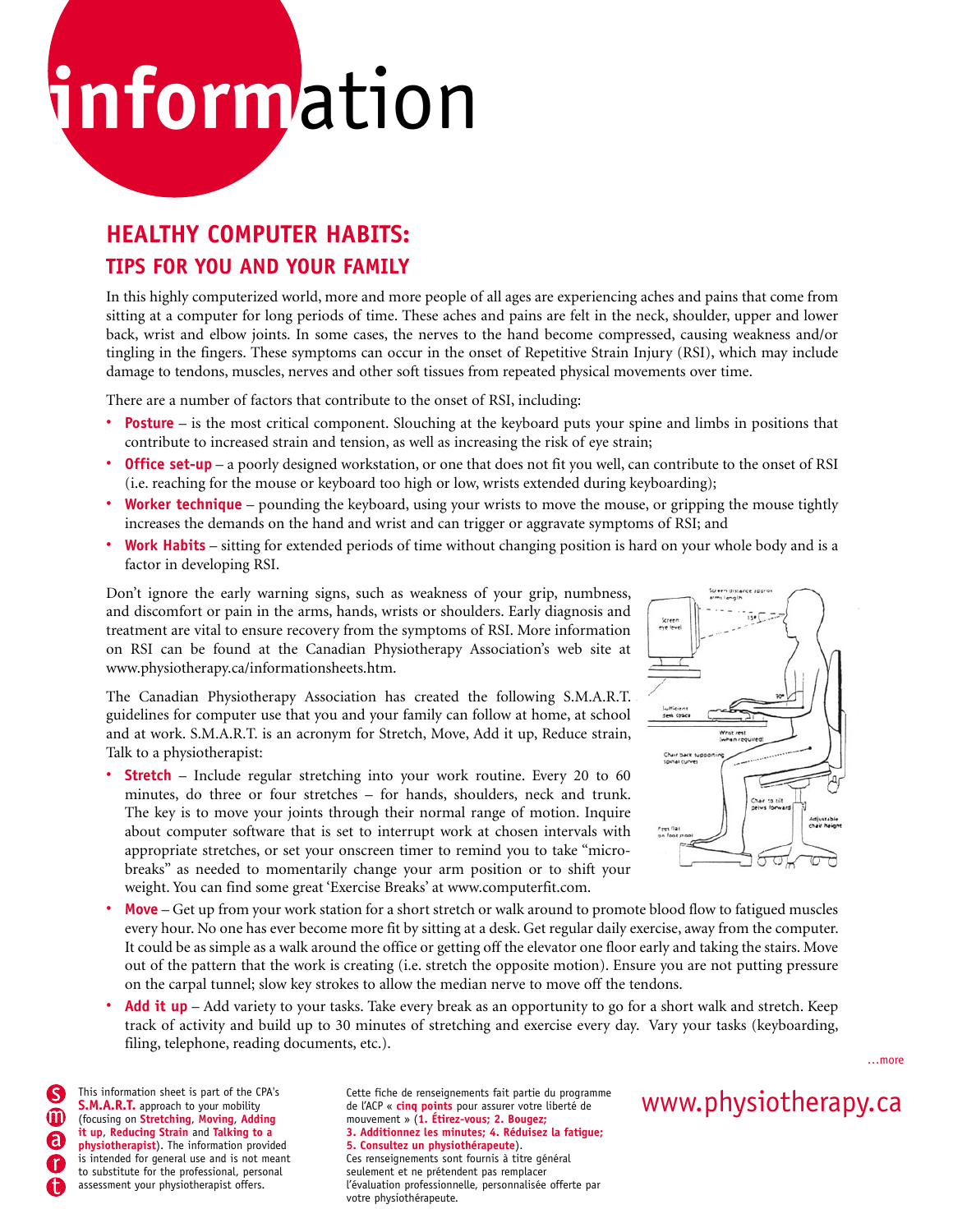# **inform**ation

## **HEALTHY COMPUTER HABITS:**

## **TIPS FOR YOU AND YOUR FAMILY**

In this highly computerized world, more and more people of all ages are experiencing aches and pains that come from sitting at a computer for long periods of time. These aches and pains are felt in the neck, shoulder, upper and lower back, wrist and elbow joints. In some cases, the nerves to the hand become compressed, causing weakness and/or tingling in the fingers. These symptoms can occur in the onset of Repetitive Strain Injury (RSI), which may include damage to tendons, muscles, nerves and other soft tissues from repeated physical movements over time.

There are a number of factors that contribute to the onset of RSI, including:

- **Posture** is the most critical component. Slouching at the keyboard puts your spine and limbs in positions that contribute to increased strain and tension, as well as increasing the risk of eye strain;
- **Office set-up** a poorly designed workstation, or one that does not fit you well, can contribute to the onset of RSI (i.e. reaching for the mouse or keyboard too high or low, wrists extended during keyboarding);
- **Worker technique** pounding the keyboard, using your wrists to move the mouse, or gripping the mouse tightly increases the demands on the hand and wrist and can trigger or aggravate symptoms of RSI; and
- **Work Habits** sitting for extended periods of time without changing position is hard on your whole body and is a factor in developing RSI.

Don't ignore the early warning signs, such as weakness of your grip, numbness, and discomfort or pain in the arms, hands, wrists or shoulders. Early diagnosis and treatment are vital to ensure recovery from the symptoms of RSI. More information on RSI can be found at the Canadian Physiotherapy Association's web site at www.physiotherapy.ca/informationsheets.htm.

The Canadian Physiotherapy Association has created the following S.M.A.R.T. guidelines for computer use that you and your family can follow at home, at school and at work. S.M.A.R.T. is an acronym for Stretch, Move, Add it up, Reduce strain, Talk to a physiotherapist:

• **Stretch** – Include regular stretching into your work routine. Every 20 to 60 minutes, do three or four stretches – for hands, shoulders, neck and trunk. The key is to move your joints through their normal range of motion. Inquire about computer software that is set to interrupt work at chosen intervals with appropriate stretches, or set your onscreen timer to remind you to take "microbreaks" as needed to momentarily change your arm position or to shift your weight. You can find some great 'Exercise Breaks' at www.computerfit.com.



- **Move** Get up from your work station for a short stretch or walk around to promote blood flow to fatigued muscles every hour. No one has ever become more fit by sitting at a desk. Get regular daily exercise, away from the computer. It could be as simple as a walk around the office or getting off the elevator one floor early and taking the stairs. Move out of the pattern that the work is creating (i.e. stretch the opposite motion). Ensure you are not putting pressure on the carpal tunnel; slow key strokes to allow the median nerve to move off the tendons.
- **Add it up** Add variety to your tasks. Take every break as an opportunity to go for a short walk and stretch. Keep track of activity and build up to 30 minutes of stretching and exercise every day. Vary your tasks (keyboarding, filing, telephone, reading documents, etc.).

**S.M.A.R.T.** approach to your mobility (focusing on **Stretching**, **Moving**, **Adding it up**, **Reducing Strain** and **Talking to a physiotherapist**). The information provided is intended for general use and is not meant to substitute for the professional, personal assessment your physiotherapist offers.

This information sheet is part of the CPA's<br>
S.M.A.R.T. approach to your mobility de l'ACP « cinq points pour assurer votre liberté de WWW. physiotherapy.Ca Cette fiche de renseignements fait partie du programme de l'ACP « **cinq points** pour assurer votre liberté de mouvement » (**1. Étirez-vous; 2. Bougez; 3. Additionnez les minutes; 4. Réduisez la fatigue; 5. Consultez un physiothérapeute**). Ces renseignements sont fournis à titre général seulement et ne prétendent pas remplacer l'évaluation professionnelle, personnalisée offerte par votre physiothérapeute.

…more